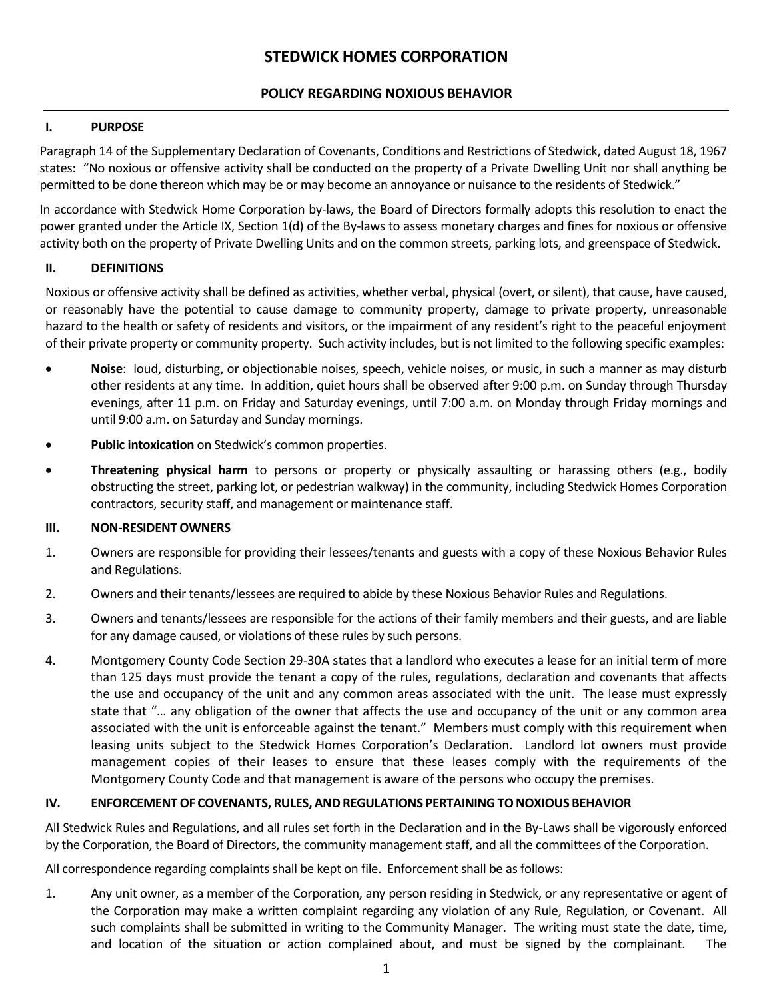# **STEDWICK HOMES CORPORATION**

# **POLICY REGARDING NOXIOUS BEHAVIOR**

### **I. PURPOSE**

Paragraph 14 of the Supplementary Declaration of Covenants, Conditions and Restrictions of Stedwick, dated August 18, 1967 states: "No noxious or offensive activity shall be conducted on the property of a Private Dwelling Unit nor shall anything be permitted to be done thereon which may be or may become an annoyance or nuisance to the residents of Stedwick."

In accordance with Stedwick Home Corporation by-laws, the Board of Directors formally adopts this resolution to enact the power granted under the Article IX, Section 1(d) of the By-laws to assess monetary charges and fines for noxious or offensive activity both on the property of Private Dwelling Units and on the common streets, parking lots, and greenspace of Stedwick.

## **II. DEFINITIONS**

Noxious or offensive activity shall be defined as activities, whether verbal, physical (overt, or silent), that cause, have caused, or reasonably have the potential to cause damage to community property, damage to private property, unreasonable hazard to the health or safety of residents and visitors, or the impairment of any resident's right to the peaceful enjoyment of their private property or community property. Such activity includes, but is not limited to the following specific examples:

- **Noise**: loud, disturbing, or objectionable noises, speech, vehicle noises, or music, in such a manner as may disturb other residents at any time. In addition, quiet hours shall be observed after 9:00 p.m. on Sunday through Thursday evenings, after 11 p.m. on Friday and Saturday evenings, until 7:00 a.m. on Monday through Friday mornings and until 9:00 a.m. on Saturday and Sunday mornings.
- **Public intoxication** on Stedwick's common properties.
- **Threatening physical harm** to persons or property or physically assaulting or harassing others (e.g., bodily obstructing the street, parking lot, or pedestrian walkway) in the community, including Stedwick Homes Corporation contractors, security staff, and management or maintenance staff.

#### **III. NON-RESIDENT OWNERS**

- 1. Owners are responsible for providing their lessees/tenants and guests with a copy of these Noxious Behavior Rules and Regulations.
- 2. Owners and their tenants/lessees are required to abide by these Noxious Behavior Rules and Regulations.
- 3. Owners and tenants/lessees are responsible for the actions of their family members and their guests, and are liable for any damage caused, or violations of these rules by such persons.
- 4. Montgomery County Code Section 29-30A states that a landlord who executes a lease for an initial term of more than 125 days must provide the tenant a copy of the rules, regulations, declaration and covenants that affects the use and occupancy of the unit and any common areas associated with the unit. The lease must expressly state that "… any obligation of the owner that affects the use and occupancy of the unit or any common area associated with the unit is enforceable against the tenant." Members must comply with this requirement when leasing units subject to the Stedwick Homes Corporation's Declaration. Landlord lot owners must provide management copies of their leases to ensure that these leases comply with the requirements of the Montgomery County Code and that management is aware of the persons who occupy the premises.

# **IV. ENFORCEMENTOF COVENANTS, RULES, ANDREGULATIONS PERTAININGTONOXIOUS BEHAVIOR**

All Stedwick Rules and Regulations, and all rules set forth in the Declaration and in the By-Laws shall be vigorously enforced by the Corporation, the Board of Directors, the community management staff, and all the committees of the Corporation.

All correspondence regarding complaints shall be kept on file. Enforcement shall be as follows:

1. Any unit owner, as a member of the Corporation, any person residing in Stedwick, or any representative or agent of the Corporation may make a written complaint regarding any violation of any Rule, Regulation, or Covenant. All such complaints shall be submitted in writing to the Community Manager. The writing must state the date, time, and location of the situation or action complained about, and must be signed by the complainant. The